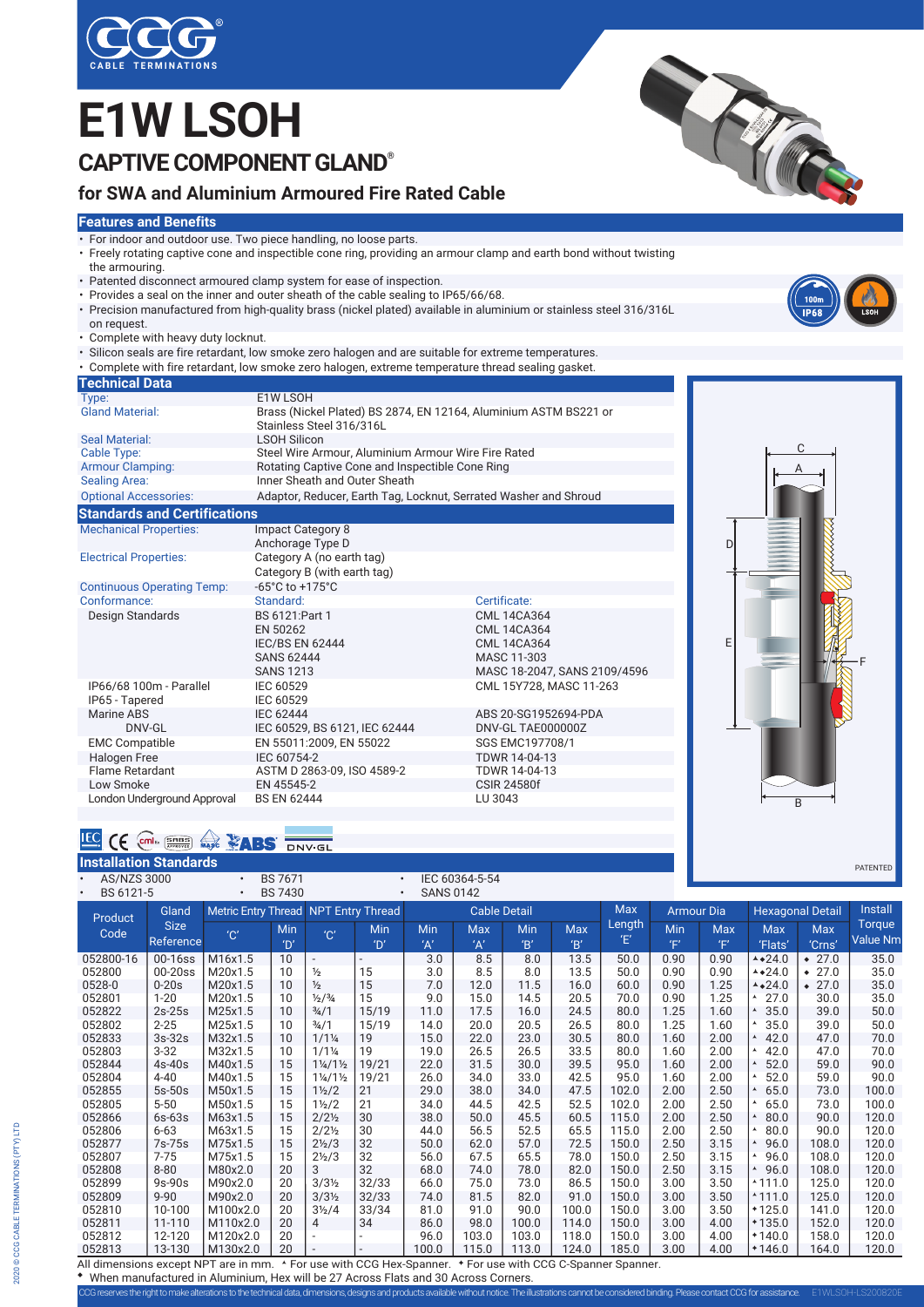

## **E1W LSOH CAPTIVE COMPONENT GLAND®**

### **for SWA and Aluminium Armoured Fire Rated Cable**

#### **Features and Benefits**

- For indoor and outdoor use. Two piece handling, no loose parts.
- Freely rotating captive cone and inspectible cone ring, providing an armour clamp and earth bond without twisting the armouring.
- Patented disconnect armoured clamp system for ease of inspection.
- Provides a seal on the inner and outer sheath of the cable sealing to IP65/66/68.
- Precision manufactured from high-quality brass (nickel plated) available in aluminium or stainless steel 316/316L on request.
- Complete with heavy duty locknut.
- Silicon seals are fire retardant, low smoke zero halogen and are suitable for extreme temperatures.
- Complete with fire retardant, low smoke zero halogen, extreme temperature thread sealing gasket.

| <b>Technical Data</b>                     |                                                                                                |                                                                                                               |  |  |  |  |  |  |  |
|-------------------------------------------|------------------------------------------------------------------------------------------------|---------------------------------------------------------------------------------------------------------------|--|--|--|--|--|--|--|
| Type:                                     | E1W LSOH                                                                                       |                                                                                                               |  |  |  |  |  |  |  |
| <b>Gland Material:</b>                    | Brass (Nickel Plated) BS 2874, EN 12164, Aluminium ASTM BS221 or<br>Stainless Steel 316/316L   |                                                                                                               |  |  |  |  |  |  |  |
| <b>Seal Material:</b>                     | <b>LSOH Silicon</b>                                                                            |                                                                                                               |  |  |  |  |  |  |  |
| Cable Type:                               | Steel Wire Armour, Aluminium Armour Wire Fire Rated                                            |                                                                                                               |  |  |  |  |  |  |  |
| <b>Armour Clamping:</b>                   | Rotating Captive Cone and Inspectible Cone Ring                                                |                                                                                                               |  |  |  |  |  |  |  |
| <b>Sealing Area:</b>                      | Inner Sheath and Outer Sheath                                                                  |                                                                                                               |  |  |  |  |  |  |  |
| <b>Optional Accessories:</b>              | Adaptor, Reducer, Earth Tag, Locknut, Serrated Washer and Shroud                               |                                                                                                               |  |  |  |  |  |  |  |
| <b>Standards and Certifications</b>       |                                                                                                |                                                                                                               |  |  |  |  |  |  |  |
| <b>Mechanical Properties:</b>             | <b>Impact Category 8</b><br>Anchorage Type D                                                   |                                                                                                               |  |  |  |  |  |  |  |
| <b>Electrical Properties:</b>             | Category A (no earth tag)<br>Category B (with earth tag)                                       |                                                                                                               |  |  |  |  |  |  |  |
| <b>Continuous Operating Temp:</b>         | $-65^{\circ}$ C to $+175^{\circ}$ C                                                            |                                                                                                               |  |  |  |  |  |  |  |
| Conformance:                              | Standard:                                                                                      | Certificate:                                                                                                  |  |  |  |  |  |  |  |
| Design Standards                          | BS 6121: Part 1<br>EN 50262<br><b>IEC/BS EN 62444</b><br><b>SANS 62444</b><br><b>SANS 1213</b> | <b>CML 14CA364</b><br><b>CML 14CA364</b><br><b>CML 14CA364</b><br>MASC 11-303<br>MASC 18-2047, SANS 2109/4596 |  |  |  |  |  |  |  |
| IP66/68 100m - Parallel<br>IP65 - Tapered | IEC 60529<br>IEC 60529                                                                         | CML 15Y728, MASC 11-263                                                                                       |  |  |  |  |  |  |  |
| Marine ABS<br>DNV-GL                      | <b>IEC 62444</b><br>IEC 60529, BS 6121, IEC 62444                                              | ABS 20-SG1952694-PDA<br>DNV-GL TAE000000Z                                                                     |  |  |  |  |  |  |  |
| <b>EMC Compatible</b>                     | EN 55011:2009, EN 55022                                                                        | SGS EMC197708/1                                                                                               |  |  |  |  |  |  |  |
| Halogen Free                              | IEC 60754-2                                                                                    | TDWR 14-04-13                                                                                                 |  |  |  |  |  |  |  |
| Flame Retardant                           | ASTM D 2863-09, ISO 4589-2                                                                     | TDWR 14-04-13                                                                                                 |  |  |  |  |  |  |  |
| Low Smoke                                 | EN 45545-2                                                                                     | <b>CSIR 24580f</b>                                                                                            |  |  |  |  |  |  |  |
| London Underground Approval               | <b>BS EN 62444</b>                                                                             | LU 3043                                                                                                       |  |  |  |  |  |  |  |

# $\overline{D}$ E A  $\overline{c}$ B F

| E | cmI <sub>Ex</sub><br>SHBS |        |                          |  |
|---|---------------------------|--------|--------------------------|--|
|   | <b>APPROVED</b>           | $\sim$ | $\blacksquare$<br>DNV-GI |  |

| <b>Installation Standards</b>       |             |           |                                                |                                 |                                       |                     |                |       |            |                                          |      |                         |                          |                   | PATENTED |
|-------------------------------------|-------------|-----------|------------------------------------------------|---------------------------------|---------------------------------------|---------------------|----------------|-------|------------|------------------------------------------|------|-------------------------|--------------------------|-------------------|----------|
| <b>AS/NZS 3000</b>                  |             | $\bullet$ | <b>BS7671</b>                                  |                                 |                                       |                     | IEC 60364-5-54 |       |            |                                          |      |                         |                          |                   |          |
| BS 6121-5<br>$\bullet$              |             | $\bullet$ | <b>BS 7430</b>                                 |                                 | $\bullet$                             | <b>SANS 0142</b>    |                |       |            |                                          |      |                         |                          |                   |          |
| Product<br>Code                     | Gland       |           | Metric Entry Thread<br><b>NPT Entry Thread</b> |                                 |                                       | <b>Cable Detail</b> |                |       | <b>Max</b> | <b>Armour Dia</b>                        |      | <b>Hexagonal Detail</b> |                          | Install           |          |
|                                     | <b>Size</b> | "C"       | Min                                            | $^{\prime}$ C $^{\prime}$       | Min                                   | Min                 | <b>Max</b>     | Min   | <b>Max</b> | Length                                   | Min  | Max                     | <b>Max</b>               | Max               | Torque   |
|                                     | Reference   |           | $^{\prime}$ D'                                 |                                 | D'                                    | 'A'                 | 'A'            | B'    | B'         | Έ                                        | 'F'  | 'F'                     | 'Flats'                  | 'Crns'            | Value Nm |
| 052800-16                           | 00-16ss     | M16x1.5   | 10                                             | $\sim$                          | ÷.                                    | 3.0                 | 8.5            | 8.0   | 13.5       | 50.0                                     | 0.90 | 0.90                    | $4*24.0$                 | $\div$ 27.0       | 35.0     |
| 052800                              | $00-20$ ss  | M20x1.5   | 10                                             | $\frac{1}{2}$                   | 15                                    | 3.0                 | 8.5            | 8.0   | 13.5       | 50.0                                     | 0.90 | 0.90                    | $*24.0$                  | 27.0<br>$\bullet$ | 35.0     |
| 0528-0                              | $0-20s$     | M20x1.5   | 10                                             | $\frac{1}{2}$                   | 15                                    | 7.0                 | 12.0           | 11.5  | 16.0       | 60.0                                     | 0.90 | 1.25                    | $*24.0$                  | 27.0<br>$\bullet$ | 35.0     |
| 052801                              | $1 - 20$    | M20x1.5   | 10                                             | $\frac{1}{2}$ / $\frac{3}{4}$   | 15                                    | 9.0                 | 15.0           | 14.5  | 20.5       | 70.0                                     | 0.90 | 1.25                    | 27.0<br>A                | 30.0              | 35.0     |
| 052822                              | $2s-25s$    | M25x1.5   | 10                                             | $\frac{3}{4}$ /1                | 15/19                                 | 11.0                | 17.5           | 16.0  | 24.5       | 80.0                                     | 1.25 | 1.60                    | 35.0                     | 39.0              | 50.0     |
| 052802                              | $2 - 25$    | M25x1.5   | 10                                             | $\frac{3}{4}$ /1                | 15/19                                 | 14.0                | 20.0           | 20.5  | 26.5       | 80.0                                     | 1.25 | 1.60                    | 35.0                     | 39.0              | 50.0     |
| 052833                              | $3s-32s$    | M32x1.5   | 10                                             | $1/1\frac{1}{4}$                | 19                                    | 15.0                | 22.0           | 23.0  | 30.5       | 80.0                                     | 1.60 | 2.00                    | 42.0                     | 47.0              | 70.0     |
| 052803                              | $3 - 32$    | M32x1.5   | 10                                             | $1/1\frac{1}{4}$                | 19                                    | 19.0                | 26.5           | 26.5  | 33.5       | 80.0                                     | 1.60 | 2.00                    | 42.0<br>A                | 47.0              | 70.0     |
| 052844                              | $4s-40s$    | M40x1.5   | 15                                             | $1\frac{1}{4}$ /1 $\frac{1}{2}$ | 19/21                                 | 22.0                | 31.5           | 30.0  | 39.5       | 95.0                                     | 1.60 | 2.00                    | 52.0                     | 59.0              | 90.0     |
| 052804                              | $4 - 40$    | M40x1.5   | 15                                             | $1\frac{1}{4}$ /1 $\frac{1}{2}$ | 19/21                                 | 26.0                | 34.0           | 33.0  | 42.5       | 95.0                                     | 1.60 | 2.00                    | 52.0                     | 59.0              | 90.0     |
| 052855                              | $5s-50s$    | M50x1.5   | 15                                             | $1\frac{1}{2}$                  | 21                                    | 29.0                | 38.0           | 34.0  | 47.5       | 102.0                                    | 2.00 | 2.50                    | 65.0                     | 73.0              | 100.0    |
| 052805                              | $5 - 50$    | M50x1.5   | 15                                             | $1\frac{1}{2}$                  | 21                                    | 34.0                | 44.5           | 42.5  | 52.5       | 102.0                                    | 2.00 | 2.50                    | 65.0                     | 73.0              | 100.0    |
| 052866                              | $6s-63s$    | M63x1.5   | 15                                             | $2/2\frac{1}{2}$                | 30                                    | 38.0                | 50.0           | 45.5  | 60.5       | 115.0                                    | 2.00 | 2.50                    | 80.0                     | 90.0              | 120.0    |
| 052806                              | $6 - 63$    | M63x1.5   | 15                                             | $2/2\frac{1}{2}$                | 30                                    | 44.0                | 56.5           | 52.5  | 65.5       | 115.0                                    | 2.00 | 2.50                    | 80.0                     | 90.0              | 120.0    |
| 052877                              | 7s-75s      | M75x1.5   | 15                                             | $2\frac{1}{2}$ /3               | 32                                    | 50.0                | 62.0           | 57.0  | 72.5       | 150.0                                    | 2.50 | 3.15                    | 96.0                     | 108.0             | 120.0    |
| 052807                              | $7 - 75$    | M75x1.5   | 15                                             | $2\frac{1}{2}$ /3               | 32                                    | 56.0                | 67.5           | 65.5  | 78.0       | 150.0                                    | 2.50 | 3.15                    | 96.0<br>A                | 108.0             | 120.0    |
| 052808                              | $8 - 80$    | M80x2.0   | 20                                             | 3                               | 32                                    | 68.0                | 74.0           | 78.0  | 82.0       | 150.0                                    | 2.50 | 3.15                    | $\blacktriangle$<br>96.0 | 108.0             | 120.0    |
| 052899                              | $9s-90s$    | M90x2.0   | 20                                             | $3/3\frac{1}{2}$                | 32/33                                 | 66.0                | 75.0           | 73.0  | 86.5       | 150.0                                    | 3.00 | 3.50                    | $*111.0$                 | 125.0             | 120.0    |
| 052809                              | $9 - 90$    | M90x2.0   | 20                                             | $3/3\frac{1}{2}$                | 32/33                                 | 74.0                | 81.5           | 82.0  | 91.0       | 150.0                                    | 3.00 | 3.50                    | $*111.0$                 | 125.0             | 120.0    |
| 052810                              | 10-100      | M100x2.0  | 20                                             | $3\frac{1}{2}$ /4               | 33/34                                 | 81.0                | 91.0           | 90.0  | 100.0      | 150.0                                    | 3.00 | 3.50                    | $*125.0$                 | 141.0             | 120.0    |
| 052811                              | 11-110      | M110x2.0  | 20                                             | 4                               | 34                                    | 86.0                | 98.0           | 100.0 | 114.0      | 150.0                                    | 3.00 | 4.00                    | $*135.0$                 | 152.0             | 120.0    |
| 052812                              | 12-120      | M120x2.0  | 20                                             |                                 |                                       | 96.0                | 103.0          | 103.0 | 118.0      | 150.0                                    | 3.00 | 4.00                    | $*140.0$                 | 158.0             | 120.0    |
| 052813                              | 13-130      | M130x2.0  | 20                                             |                                 |                                       | 100.0               | 115.0          | 113.0 | 124.0      | 185.0                                    | 3.00 | 4.00                    | $*146.0$                 | 164.0             | 120.0    |
| All dimensions excent NPT are in mm |             |           |                                                |                                 | <b>A For use with CCG Hey-Spanner</b> |                     |                |       |            | <b>Entire with CCG C-Snanner Snanner</b> |      |                         |                          |                   |          |

imensions except NPT are in mm. For use with CCG Hex-Spanner. For use with CCG C-Spanner Spanner. When manufactured in Aluminium, Hex will be 27 Across Flats and 30 Across Corners.